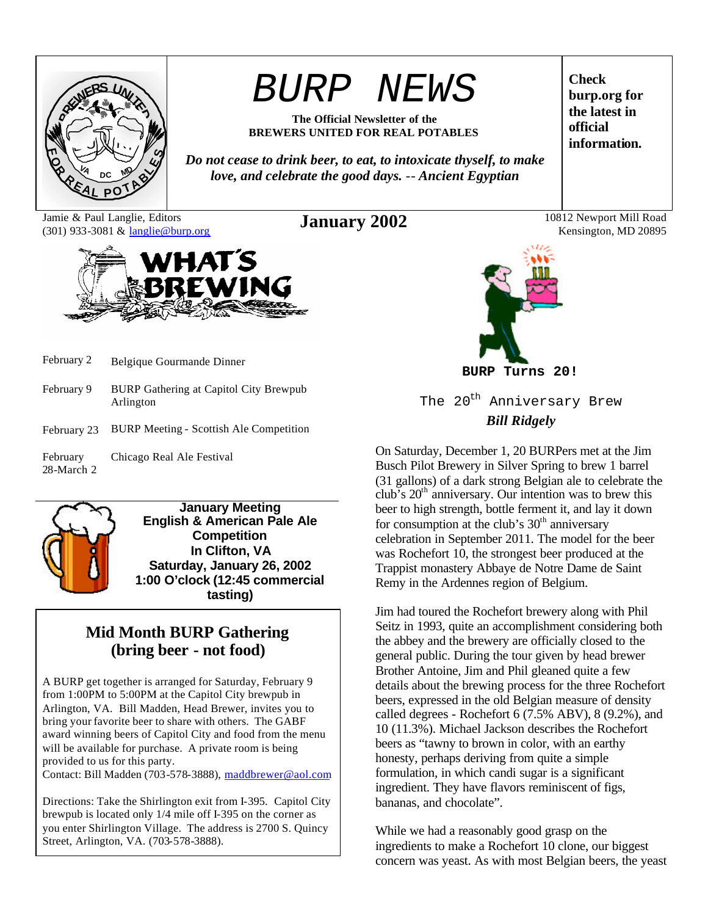

# *BURP NEWS*

**The Official Newsletter of the BREWERS UNITED FOR REAL POTABLES**

*Do not cease to drink beer, to eat, to intoxicate thyself, to make love, and celebrate the good days.* -- *Ancient Egyptian*

Jamie & Paul Langlie, Editors (301) 933-3081 & langlie@burp.org



- February 2 Belgique Gourmande Dinner
- February 9 BURP Gathering at Capitol City Brewpub Arlington
- February 23 BURP Meeting Scottish Ale Competition
- February 28-March 2 Chicago Real Ale Festival



**January Meeting English & American Pale Ale Competition In Clifton, VA Saturday, January 26, 2002 1:00 O'clock (12:45 commercial tasting)**

# **Mid Month BURP Gathering (bring beer - not food)**

A BURP get together is arranged for Saturday, February 9 from 1:00PM to 5:00PM at the Capitol City brewpub in Arlington, VA. Bill Madden, Head Brewer, invites you to bring your favorite beer to share with others. The GABF award winning beers of Capitol City and food from the menu will be available for purchase. A private room is being provided to us for this party.

Contact: Bill Madden (703-578-3888), maddbrewer@aol.com

Directions: Take the Shirlington exit from I-395. Capitol City brewpub is located only 1/4 mile off I-395 on the corner as you enter Shirlington Village. The address is 2700 S. Quincy Street, Arlington, VA. (703-578-3888).



**BURP Turns 20!**

The 20<sup>th</sup> Anniversary Brew *Bill Ridgely*

On Saturday, December 1, 20 BURPers met at the Jim Busch Pilot Brewery in Silver Spring to brew 1 barrel (31 gallons) of a dark strong Belgian ale to celebrate the club's  $20<sup>th</sup>$  anniversary. Our intention was to brew this beer to high strength, bottle ferment it, and lay it down for consumption at the club's  $30<sup>th</sup>$  anniversary celebration in September 2011. The model for the beer was Rochefort 10, the strongest beer produced at the Trappist monastery Abbaye de Notre Dame de Saint Remy in the Ardennes region of Belgium.

Jim had toured the Rochefort brewery along with Phil Seitz in 1993, quite an accomplishment considering both the abbey and the brewery are officially closed to the general public. During the tour given by head brewer Brother Antoine, Jim and Phil gleaned quite a few details about the brewing process for the three Rochefort beers, expressed in the old Belgian measure of density called degrees - Rochefort 6 (7.5% ABV), 8 (9.2%), and 10 (11.3%). Michael Jackson describes the Rochefort beers as "tawny to brown in color, with an earthy honesty, perhaps deriving from quite a simple formulation, in which candi sugar is a significant ingredient. They have flavors reminiscent of figs, bananas, and chocolate".

While we had a reasonably good grasp on the ingredients to make a Rochefort 10 clone, our biggest concern was yeast. As with most Belgian beers, the yeast

**Check burp.org for the latest in official information.**

**January 2002** 10812 Newport Mill Road Kensington, MD 20895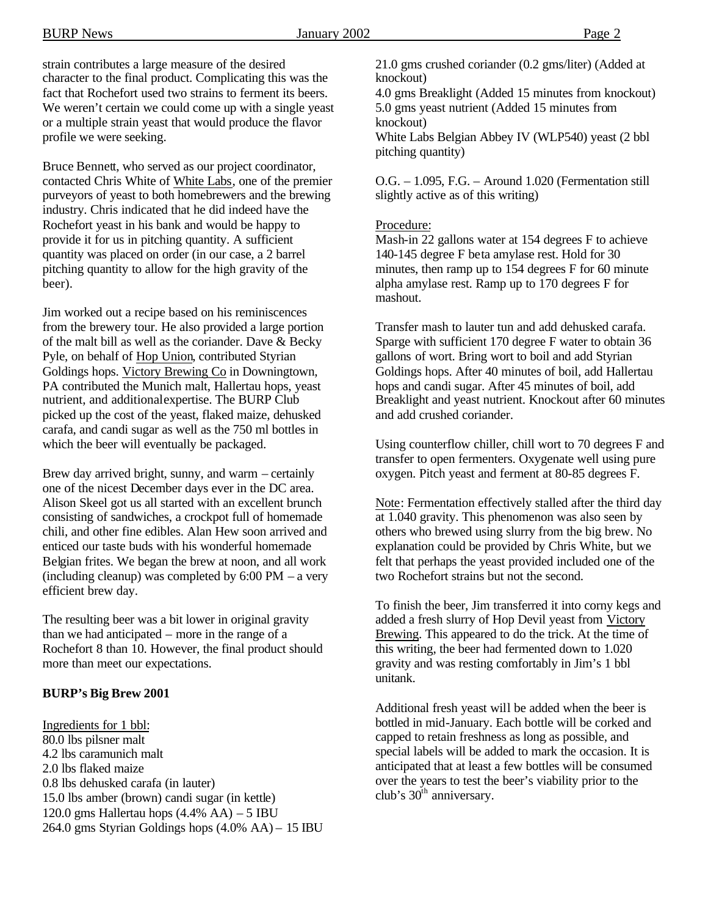strain contributes a large measure of the desired character to the final product. Complicating this was the fact that Rochefort used two strains to ferment its beers. We weren't certain we could come up with a single yeast or a multiple strain yeast that would produce the flavor profile we were seeking.

Bruce Bennett, who served as our project coordinator, contacted Chris White of White Labs, one of the premier purveyors of yeast to both homebrewers and the brewing industry. Chris indicated that he did indeed have the Rochefort yeast in his bank and would be happy to provide it for us in pitching quantity. A sufficient quantity was placed on order (in our case, a 2 barrel pitching quantity to allow for the high gravity of the beer).

Jim worked out a recipe based on his reminiscences from the brewery tour. He also provided a large portion of the malt bill as well as the coriander. Dave & Becky Pyle, on behalf of Hop Union, contributed Styrian Goldings hops. Victory Brewing Co in Downingtown, PA contributed the Munich malt, Hallertau hops, yeast nutrient, and additional expertise. The BURP Club picked up the cost of the yeast, flaked maize, dehusked carafa, and candi sugar as well as the 750 ml bottles in which the beer will eventually be packaged.

Brew day arrived bright, sunny, and warm – certainly one of the nicest December days ever in the DC area. Alison Skeel got us all started with an excellent brunch consisting of sandwiches, a crockpot full of homemade chili, and other fine edibles. Alan Hew soon arrived and enticed our taste buds with his wonderful homemade Belgian frites. We began the brew at noon, and all work (including cleanup) was completed by 6:00 PM – a very efficient brew day.

The resulting beer was a bit lower in original gravity than we had anticipated – more in the range of a Rochefort 8 than 10. However, the final product should more than meet our expectations.

#### **BURP's Big Brew 2001**

Ingredients for 1 bbl: 80.0 lbs pilsner malt 4.2 lbs caramunich malt 2.0 lbs flaked maize 0.8 lbs dehusked carafa (in lauter) 15.0 lbs amber (brown) candi sugar (in kettle) 120.0 gms Hallertau hops (4.4% AA) – 5 IBU 264.0 gms Styrian Goldings hops (4.0% AA) – 15 IBU 4.0 gms Breaklight (Added 15 minutes from knockout) 5.0 gms yeast nutrient (Added 15 minutes from knockout)

White Labs Belgian Abbey IV (WLP540) yeast (2 bbl pitching quantity)

O.G. – 1.095, F.G. – Around 1.020 (Fermentation still slightly active as of this writing)

#### Procedure:

Mash-in 22 gallons water at 154 degrees F to achieve 140-145 degree F beta amylase rest. Hold for 30 minutes, then ramp up to 154 degrees F for 60 minute alpha amylase rest. Ramp up to 170 degrees F for mashout.

Transfer mash to lauter tun and add dehusked carafa. Sparge with sufficient 170 degree F water to obtain 36 gallons of wort. Bring wort to boil and add Styrian Goldings hops. After 40 minutes of boil, add Hallertau hops and candi sugar. After 45 minutes of boil, add Breaklight and yeast nutrient. Knockout after 60 minutes and add crushed coriander.

Using counterflow chiller, chill wort to 70 degrees F and transfer to open fermenters. Oxygenate well using pure oxygen. Pitch yeast and ferment at 80-85 degrees F.

Note: Fermentation effectively stalled after the third day at 1.040 gravity. This phenomenon was also seen by others who brewed using slurry from the big brew. No explanation could be provided by Chris White, but we felt that perhaps the yeast provided included one of the two Rochefort strains but not the second.

To finish the beer, Jim transferred it into corny kegs and added a fresh slurry of Hop Devil yeast from Victory Brewing. This appeared to do the trick. At the time of this writing, the beer had fermented down to 1.020 gravity and was resting comfortably in Jim's 1 bbl unitank.

Additional fresh yeast will be added when the beer is bottled in mid-January. Each bottle will be corked and capped to retain freshness as long as possible, and special labels will be added to mark the occasion. It is anticipated that at least a few bottles will be consumed over the years to test the beer's viability prior to the club's  $30<sup>th</sup>$  anniversary.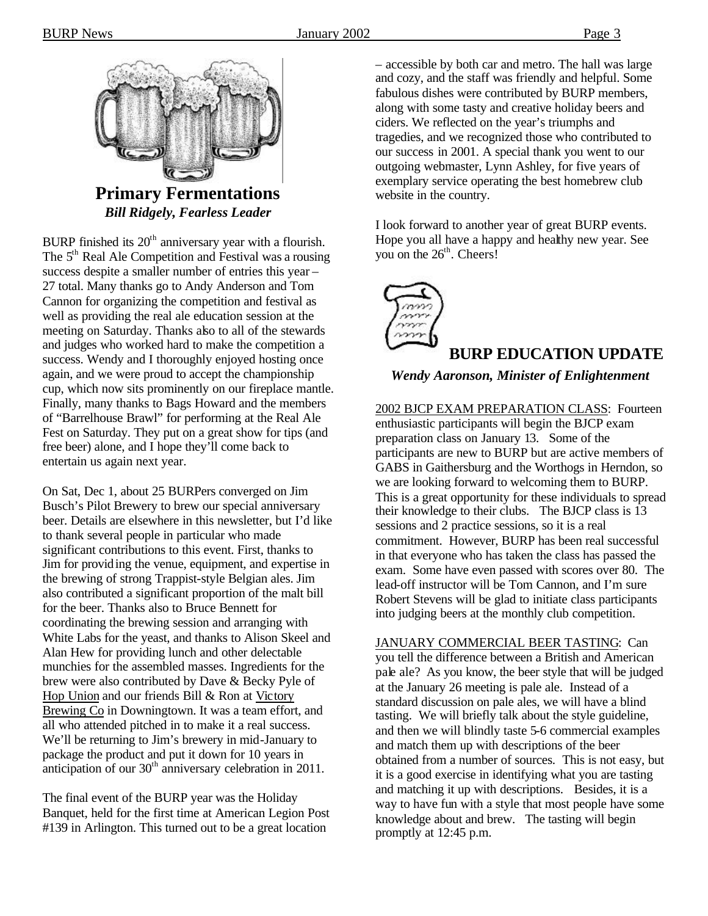

**Primary Fermentations** *Bill Ridgely, Fearless Leader*

BURP finished its  $20<sup>th</sup>$  anniversary year with a flourish. The 5<sup>th</sup> Real Ale Competition and Festival was a rousing success despite a smaller number of entries this year – 27 total. Many thanks go to Andy Anderson and Tom Cannon for organizing the competition and festival as well as providing the real ale education session at the meeting on Saturday. Thanks also to all of the stewards and judges who worked hard to make the competition a success. Wendy and I thoroughly enjoyed hosting once again, and we were proud to accept the championship cup, which now sits prominently on our fireplace mantle. Finally, many thanks to Bags Howard and the members of "Barrelhouse Brawl" for performing at the Real Ale Fest on Saturday. They put on a great show for tips (and free beer) alone, and I hope they'll come back to entertain us again next year.

On Sat, Dec 1, about 25 BURPers converged on Jim Busch's Pilot Brewery to brew our special anniversary beer. Details are elsewhere in this newsletter, but I'd like to thank several people in particular who made significant contributions to this event. First, thanks to Jim for providing the venue, equipment, and expertise in the brewing of strong Trappist-style Belgian ales. Jim also contributed a significant proportion of the malt bill for the beer. Thanks also to Bruce Bennett for coordinating the brewing session and arranging with White Labs for the yeast, and thanks to Alison Skeel and Alan Hew for providing lunch and other delectable munchies for the assembled masses. Ingredients for the brew were also contributed by Dave & Becky Pyle of Hop Union and our friends Bill & Ron at Victory Brewing Co in Downingtown. It was a team effort, and all who attended pitched in to make it a real success. We'll be returning to Jim's brewery in mid-January to package the product and put it down for 10 years in anticipation of our 30<sup>th</sup> anniversary celebration in 2011.

The final event of the BURP year was the Holiday Banquet, held for the first time at American Legion Post #139 in Arlington. This turned out to be a great location

– accessible by both car and metro. The hall was large and cozy, and the staff was friendly and helpful. Some fabulous dishes were contributed by BURP members, along with some tasty and creative holiday beers and ciders. We reflected on the year's triumphs and tragedies, and we recognized those who contributed to our success in 2001. A special thank you went to our outgoing webmaster, Lynn Ashley, for five years of exemplary service operating the best homebrew club website in the country.

I look forward to another year of great BURP events. Hope you all have a happy and healthy new year. See you on the  $26<sup>th</sup>$ . Cheers!

 $\sim$ **BURP EDUCATION UPDATE**

#### *Wendy Aaronson, Minister of Enlightenment*

2002 BJCP EXAM PREPARATION CLASS: Fourteen enthusiastic participants will begin the BJCP exam preparation class on January 13. Some of the participants are new to BURP but are active members of GABS in Gaithersburg and the Worthogs in Herndon, so we are looking forward to welcoming them to BURP. This is a great opportunity for these individuals to spread their knowledge to their clubs. The BJCP class is 13 sessions and 2 practice sessions, so it is a real commitment. However, BURP has been real successful in that everyone who has taken the class has passed the exam. Some have even passed with scores over 80. The lead-off instructor will be Tom Cannon, and I'm sure Robert Stevens will be glad to initiate class participants into judging beers at the monthly club competition.

JANUARY COMMERCIAL BEER TASTING: Can you tell the difference between a British and American pale ale? As you know, the beer style that will be judged at the January 26 meeting is pale ale. Instead of a standard discussion on pale ales, we will have a blind tasting. We will briefly talk about the style guideline, and then we will blindly taste 5-6 commercial examples and match them up with descriptions of the beer obtained from a number of sources. This is not easy, but it is a good exercise in identifying what you are tasting and matching it up with descriptions. Besides, it is a way to have fun with a style that most people have some knowledge about and brew. The tasting will begin promptly at 12:45 p.m.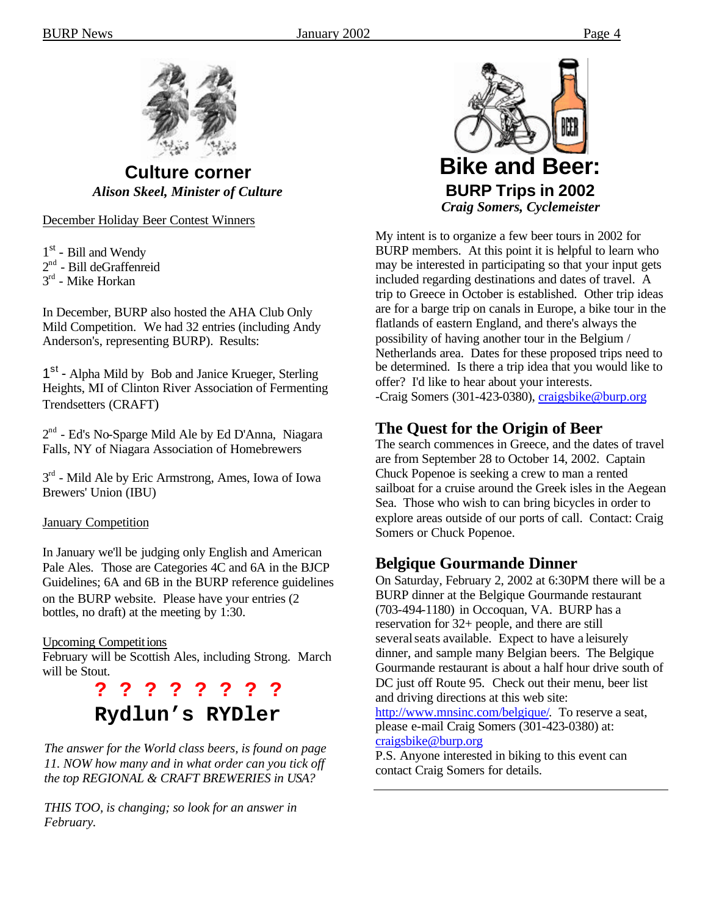

**Culture corner** *Alison Skeel, Minister of Culture*

December Holiday Beer Contest Winners

1<sup>st</sup> - Bill and Wendy

 $2<sup>nd</sup>$  - Bill deGraffenreid

3<sup>rd</sup> - Mike Horkan

In December, BURP also hosted the AHA Club Only Mild Competition. We had 32 entries (including Andy Anderson's, representing BURP). Results:

1<sup>st</sup> - Alpha Mild by Bob and Janice Krueger, Sterling Heights, MI of Clinton River Association of Fermenting Trendsetters (CRAFT)

2<sup>nd</sup> - Ed's No-Sparge Mild Ale by Ed D'Anna, Niagara Falls, NY of Niagara Association of Homebrewers

3<sup>rd</sup> - Mild Ale by Eric Armstrong, Ames, Iowa of Iowa Brewers' Union (IBU)

#### January Competition

In January we'll be judging only English and American Pale Ales. Those are Categories 4C and 6A in the BJCP Guidelines; 6A and 6B in the BURP reference guidelines on the BURP website. Please have your entries (2 bottles, no draft) at the meeting by 1:30.

#### Upcoming Competitions

February will be Scottish Ales, including Strong. March will be Stout.

# **? ? ? ? ? ? ? ? Rydlun's RYDler**

*The answer for the World class beers, is found on page 11. NOW how many and in what order can you tick off the top REGIONAL & CRAFT BREWERIES in USA?*

*THIS TOO, is changing; so look for an answer in February.*



My intent is to organize a few beer tours in 2002 for BURP members. At this point it is helpful to learn who may be interested in participating so that your input gets included regarding destinations and dates of travel. A trip to Greece in October is established. Other trip ideas are for a barge trip on canals in Europe, a bike tour in the flatlands of eastern England, and there's always the possibility of having another tour in the Belgium / Netherlands area. Dates for these proposed trips need to be determined. Is there a trip idea that you would like to offer? I'd like to hear about your interests. -Craig Somers (301-423-0380), craigsbike@burp.org

# **The Quest for the Origin of Beer**

The search commences in Greece, and the dates of travel are from September 28 to October 14, 2002. Captain Chuck Popenoe is seeking a crew to man a rented sailboat for a cruise around the Greek isles in the Aegean Sea. Those who wish to can bring bicycles in order to explore areas outside of our ports of call. Contact: Craig Somers or Chuck Popenoe.

### **Belgique Gourmande Dinner**

On Saturday, February 2, 2002 at 6:30PM there will be a BURP dinner at the Belgique Gourmande restaurant (703-494-1180) in Occoquan, VA. BURP has a reservation for 32+ people, and there are still several seats available. Expect to have a leisurely dinner, and sample many Belgian beers. The Belgique Gourmande restaurant is about a half hour drive south of DC just off Route 95. Check out their menu, beer list and driving directions at this web site: http://www.mnsinc.com/belgique/. To reserve a seat, please e-mail Craig Somers (301-423-0380) at: craigsbike@burp.org

P.S. Anyone interested in biking to this event can contact Craig Somers for details.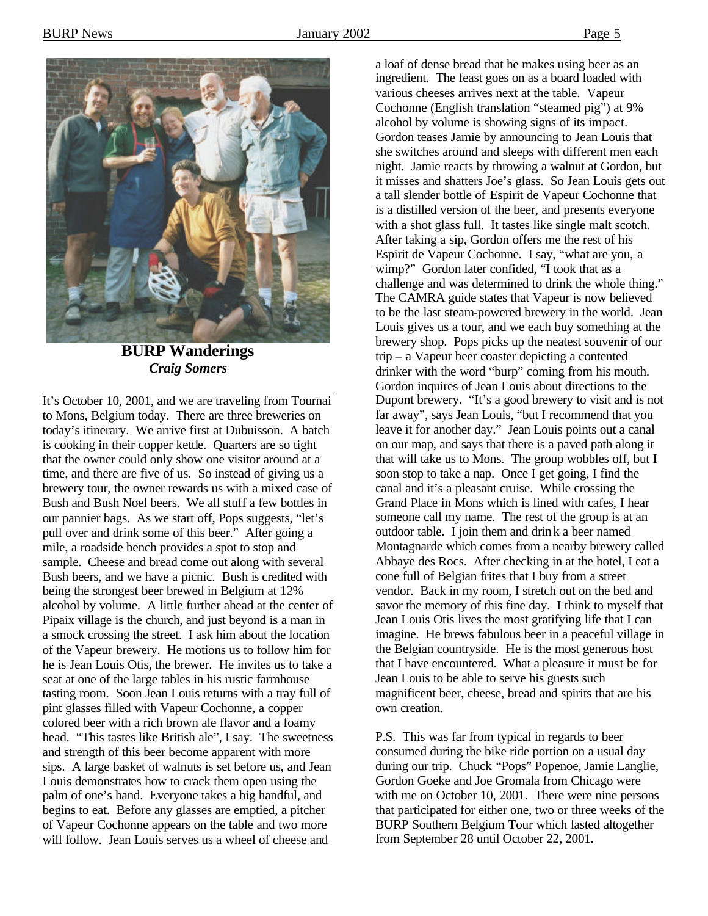

**BURP Wanderings** *Craig Somers*

It's October 10, 2001, and we are traveling from Tournai to Mons, Belgium today. There are three breweries on today's itinerary. We arrive first at Dubuisson. A batch is cooking in their copper kettle. Quarters are so tight that the owner could only show one visitor around at a time, and there are five of us. So instead of giving us a brewery tour, the owner rewards us with a mixed case of Bush and Bush Noel beers. We all stuff a few bottles in our pannier bags. As we start off, Pops suggests, "let's pull over and drink some of this beer." After going a mile, a roadside bench provides a spot to stop and sample. Cheese and bread come out along with several Bush beers, and we have a picnic. Bush is credited with being the strongest beer brewed in Belgium at 12% alcohol by volume. A little further ahead at the center of Pipaix village is the church, and just beyond is a man in a smock crossing the street. I ask him about the location of the Vapeur brewery. He motions us to follow him for he is Jean Louis Otis, the brewer. He invites us to take a seat at one of the large tables in his rustic farmhouse tasting room. Soon Jean Louis returns with a tray full of pint glasses filled with Vapeur Cochonne, a copper colored beer with a rich brown ale flavor and a foamy head. "This tastes like British ale", I say. The sweetness and strength of this beer become apparent with more sips. A large basket of walnuts is set before us, and Jean Louis demonstrates how to crack them open using the palm of one's hand. Everyone takes a big handful, and begins to eat. Before any glasses are emptied, a pitcher of Vapeur Cochonne appears on the table and two more will follow. Jean Louis serves us a wheel of cheese and

a loaf of dense bread that he makes using beer as an ingredient. The feast goes on as a board loaded with various cheeses arrives next at the table. Vapeur Cochonne (English translation "steamed pig") at 9% alcohol by volume is showing signs of its impact. Gordon teases Jamie by announcing to Jean Louis that she switches around and sleeps with different men each night. Jamie reacts by throwing a walnut at Gordon, but it misses and shatters Joe's glass. So Jean Louis gets out a tall slender bottle of Espirit de Vapeur Cochonne that is a distilled version of the beer, and presents everyone with a shot glass full. It tastes like single malt scotch. After taking a sip, Gordon offers me the rest of his Espirit de Vapeur Cochonne. I say, "what are you, a wimp?" Gordon later confided, "I took that as a challenge and was determined to drink the whole thing." The CAMRA guide states that Vapeur is now believed to be the last steam-powered brewery in the world. Jean Louis gives us a tour, and we each buy something at the brewery shop. Pops picks up the neatest souvenir of our trip – a Vapeur beer coaster depicting a contented drinker with the word "burp" coming from his mouth. Gordon inquires of Jean Louis about directions to the Dupont brewery. "It's a good brewery to visit and is not far away", says Jean Louis, "but I recommend that you leave it for another day." Jean Louis points out a canal on our map, and says that there is a paved path along it that will take us to Mons. The group wobbles off, but I soon stop to take a nap. Once I get going, I find the canal and it's a pleasant cruise. While crossing the Grand Place in Mons which is lined with cafes, I hear someone call my name. The rest of the group is at an outdoor table. I join them and drink a beer named Montagnarde which comes from a nearby brewery called Abbaye des Rocs. After checking in at the hotel, I eat a cone full of Belgian frites that I buy from a street vendor. Back in my room, I stretch out on the bed and savor the memory of this fine day. I think to myself that Jean Louis Otis lives the most gratifying life that I can imagine. He brews fabulous beer in a peaceful village in the Belgian countryside. He is the most generous host that I have encountered. What a pleasure it must be for Jean Louis to be able to serve his guests such magnificent beer, cheese, bread and spirits that are his own creation.

P.S. This was far from typical in regards to beer consumed during the bike ride portion on a usual day during our trip. Chuck "Pops" Popenoe, Jamie Langlie, Gordon Goeke and Joe Gromala from Chicago were with me on October 10, 2001. There were nine persons that participated for either one, two or three weeks of the BURP Southern Belgium Tour which lasted altogether from September 28 until October 22, 2001.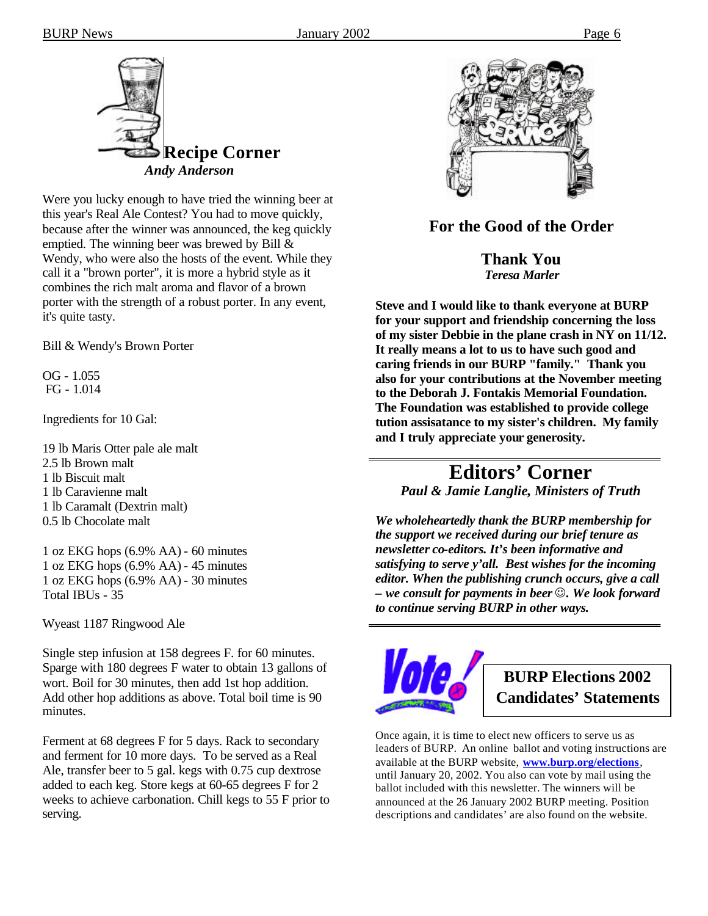

Were you lucky enough to have tried the winning beer at this year's Real Ale Contest? You had to move quickly, because after the winner was announced, the keg quickly emptied. The winning beer was brewed by Bill & Wendy, who were also the hosts of the event. While they call it a "brown porter", it is more a hybrid style as it combines the rich malt aroma and flavor of a brown porter with the strength of a robust porter. In any event, it's quite tasty.

Bill & Wendy's Brown Porter

OG - 1.055 FG - 1.014

Ingredients for 10 Gal:

19 lb Maris Otter pale ale malt 2.5 lb Brown malt 1 lb Biscuit malt 1 lb Caravienne malt 1 lb Caramalt (Dextrin malt) 0.5 lb Chocolate malt

1 oz EKG hops (6.9% AA) - 60 minutes 1 oz EKG hops (6.9% AA) - 45 minutes 1 oz EKG hops (6.9% AA) - 30 minutes Total IBUs - 35

Wyeast 1187 Ringwood Ale

Single step infusion at 158 degrees F. for 60 minutes. Sparge with 180 degrees F water to obtain 13 gallons of wort. Boil for 30 minutes, then add 1st hop addition. Add other hop additions as above. Total boil time is 90 minutes.

Ferment at 68 degrees F for 5 days. Rack to secondary and ferment for 10 more days. To be served as a Real Ale, transfer beer to 5 gal. kegs with 0.75 cup dextrose added to each keg. Store kegs at 60-65 degrees F for 2 weeks to achieve carbonation. Chill kegs to 55 F prior to serving.



### **For the Good of the Order**

**Thank You**  *Teresa Marler*

**Steve and I would like to thank everyone at BURP for your support and friendship concerning the loss of my sister Debbie in the plane crash in NY on 11/12. It really means a lot to us to have such good and caring friends in our BURP "family." Thank you also for your contributions at the November meeting to the Deborah J. Fontakis Memorial Foundation. The Foundation was established to provide college tution assisatance to my sister's children. My family and I truly appreciate your generosity.**

# **Editors' Corner** *Paul & Jamie Langlie, Ministers of Truth*

*We wholeheartedly thank the BURP membership for the support we received during our brief tenure as newsletter co-editors. It's been informative and satisfying to serve y'all. Best wishes for the incoming editor. When the publishing crunch occurs, give a call – we consult for payments in beer*  $\odot$ *. We look forward to continue serving BURP in other ways.* 



**BURP Elections 2002 Candidates' Statements**

Once again, it is time to elect new officers to serve us as leaders of BURP. An online ballot and voting instructions are available at the BURP website, **www.burp.org/elections**, until January 20, 2002. You also can vote by mail using the ballot included with this newsletter. The winners will be announced at the 26 January 2002 BURP meeting. Position descriptions and candidates' are also found on the website.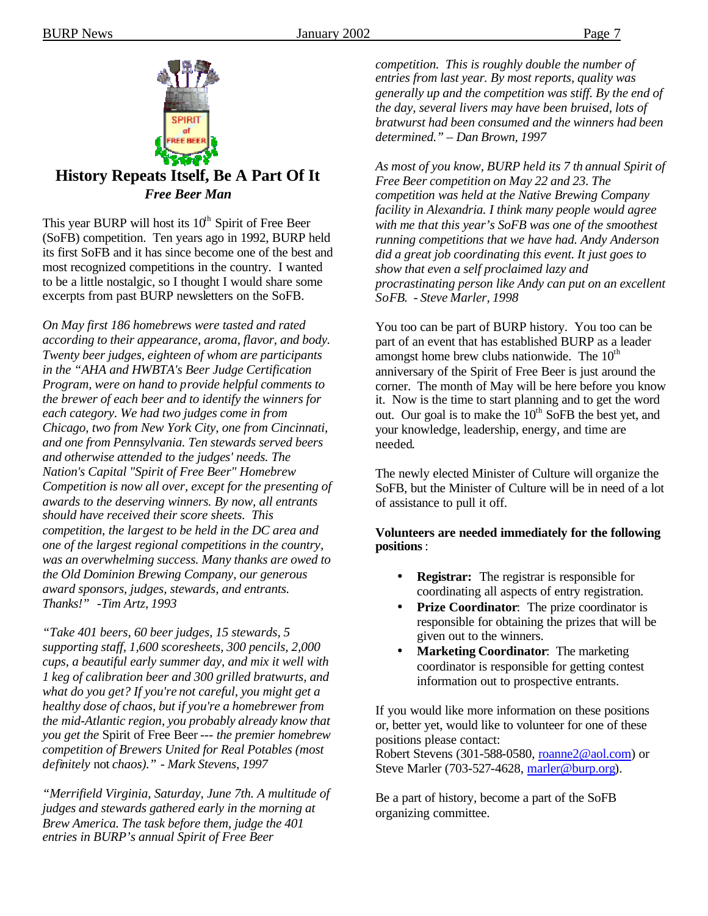

### **History Repeats Itself, Be A Part Of It** *Free Beer Man*

This year BURP will host its  $10<sup>th</sup>$  Spirit of Free Beer (SoFB) competition. Ten years ago in 1992, BURP held its first SoFB and it has since become one of the best and most recognized competitions in the country. I wanted to be a little nostalgic, so I thought I would share some excerpts from past BURP newsletters on the SoFB.

*On May first 186 homebrews were tasted and rated according to their appearance, aroma, flavor, and body. Twenty beer judges, eighteen of whom are participants in the "AHA and HWBTA's Beer Judge Certification Program, were on hand to provide helpful comments to the brewer of each beer and to identify the winners for each category. We had two judges come in from Chicago, two from New York City, one from Cincinnati, and one from Pennsylvania. Ten stewards served beers and otherwise attended to the judges' needs. The Nation's Capital "Spirit of Free Beer" Homebrew Competition is now all over, except for the presenting of awards to the deserving winners. By now, all entrants should have received their score sheets. This competition, the largest to be held in the DC area and one of the largest regional competitions in the country, was an overwhelming success. Many thanks are owed to the Old Dominion Brewing Company, our generous award sponsors, judges, stewards, and entrants. Thanks!" -Tim Artz, 1993*

*"Take 401 beers, 60 beer judges, 15 stewards, 5 supporting staff, 1,600 scoresheets, 300 pencils, 2,000 cups, a beautiful early summer day, and mix it well with 1 keg of calibration beer and 300 grilled bratwurts, and what do you get? If you're not careful, you might get a healthy dose of chaos, but if you're a homebrewer from the mid-Atlantic region, you probably already know that you get the* Spirit of Free Beer *--- the premier homebrew competition of Brewers United for Real Potables (most definitely* not *chaos)." - Mark Stevens, 1997*

*"Merrifield Virginia, Saturday, June 7th. A multitude of judges and stewards gathered early in the morning at Brew America. The task before them, judge the 401 entries in BURP's annual Spirit of Free Beer* 

*competition. This is roughly double the number of entries from last year. By most reports, quality was generally up and the competition was stiff. By the end of the day, several livers may have been bruised, lots of bratwurst had been consumed and the winners had been determined." – Dan Brown, 1997*

*As most of you know, BURP held its 7 th annual Spirit of Free Beer competition on May 22 and 23. The competition was held at the Native Brewing Company facility in Alexandria. I think many people would agree with me that this year's SoFB was one of the smoothest running competitions that we have had. Andy Anderson did a great job coordinating this event. It just goes to show that even a self proclaimed lazy and procrastinating person like Andy can put on an excellent SoFB. - Steve Marler, 1998*

You too can be part of BURP history. You too can be part of an event that has established BURP as a leader amongst home brew clubs nationwide. The  $10<sup>th</sup>$ anniversary of the Spirit of Free Beer is just around the corner. The month of May will be here before you know it. Now is the time to start planning and to get the word out. Our goal is to make the  $10<sup>th</sup>$  SoFB the best yet, and your knowledge, leadership, energy, and time are needed.

The newly elected Minister of Culture will organize the SoFB, but the Minister of Culture will be in need of a lot of assistance to pull it off.

#### **Volunteers are needed immediately for the following positions**:

- **Registrar:** The registrar is responsible for coordinating all aspects of entry registration.
- **Prize Coordinator:** The prize coordinator is responsible for obtaining the prizes that will be given out to the winners.
- **Marketing Coordinator:** The marketing coordinator is responsible for getting contest information out to prospective entrants.

If you would like more information on these positions or, better yet, would like to volunteer for one of these positions please contact:

Robert Stevens (301-588-0580, roanne2@aol.com) or Steve Marler (703-527-4628, marler@burp.org).

Be a part of history, become a part of the SoFB organizing committee.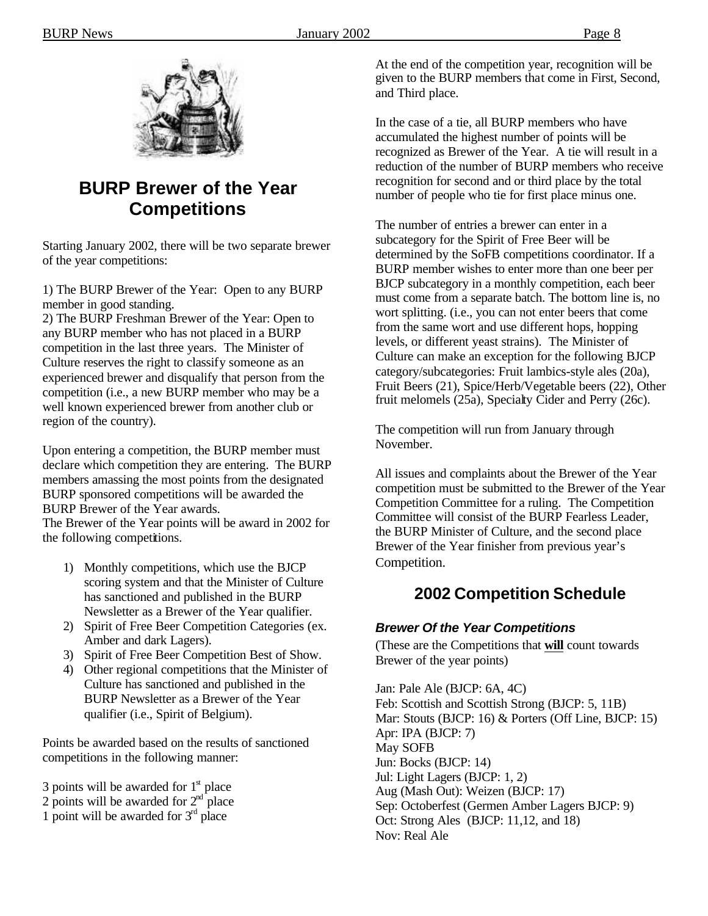

# **BURP Brewer of the Year Competitions**

Starting January 2002, there will be two separate brewer of the year competitions:

1) The BURP Brewer of the Year: Open to any BURP member in good standing.

2) The BURP Freshman Brewer of the Year: Open to any BURP member who has not placed in a BURP competition in the last three years. The Minister of Culture reserves the right to classify someone as an experienced brewer and disqualify that person from the competition (i.e., a new BURP member who may be a well known experienced brewer from another club or region of the country).

Upon entering a competition, the BURP member must declare which competition they are entering. The BURP members amassing the most points from the designated BURP sponsored competitions will be awarded the BURP Brewer of the Year awards.

The Brewer of the Year points will be award in 2002 for the following competitions.

- 1) Monthly competitions, which use the BJCP scoring system and that the Minister of Culture has sanctioned and published in the BURP Newsletter as a Brewer of the Year qualifier.
- 2) Spirit of Free Beer Competition Categories (ex. Amber and dark Lagers).
- 3) Spirit of Free Beer Competition Best of Show.
- 4) Other regional competitions that the Minister of Culture has sanctioned and published in the BURP Newsletter as a Brewer of the Year qualifier (i.e., Spirit of Belgium).

Points be awarded based on the results of sanctioned competitions in the following manner:

- 3 points will be awarded for  $1<sup>st</sup>$  place
- 2 points will be awarded for  $2<sup>nd</sup>$  place
- 1 point will be awarded for  $3<sup>rd</sup>$  place

At the end of the competition year, recognition will be given to the BURP members that come in First, Second, and Third place.

In the case of a tie, all BURP members who have accumulated the highest number of points will be recognized as Brewer of the Year. A tie will result in a reduction of the number of BURP members who receive recognition for second and or third place by the total number of people who tie for first place minus one.

The number of entries a brewer can enter in a subcategory for the Spirit of Free Beer will be determined by the SoFB competitions coordinator. If a BURP member wishes to enter more than one beer per BJCP subcategory in a monthly competition, each beer must come from a separate batch. The bottom line is, no wort splitting. (i.e., you can not enter beers that come from the same wort and use different hops, hopping levels, or different yeast strains). The Minister of Culture can make an exception for the following BJCP category/subcategories: Fruit lambics-style ales (20a), Fruit Beers (21), Spice/Herb/Vegetable beers (22), Other fruit melomels (25a), Specialty Cider and Perry (26c).

The competition will run from January through November.

All issues and complaints about the Brewer of the Year competition must be submitted to the Brewer of the Year Competition Committee for a ruling. The Competition Committee will consist of the BURP Fearless Leader, the BURP Minister of Culture, and the second place Brewer of the Year finisher from previous year's Competition.

# **2002 Competition Schedule**

### *Brewer Of the Year Competitions*

(These are the Competitions that **will** count towards Brewer of the year points)

Jan: Pale Ale (BJCP: 6A, 4C) Feb: Scottish and Scottish Strong (BJCP: 5, 11B) Mar: Stouts (BJCP: 16) & Porters (Off Line, BJCP: 15) Apr: IPA (BJCP: 7) May SOFB Jun: Bocks (BJCP: 14) Jul: Light Lagers (BJCP: 1, 2) Aug (Mash Out): Weizen (BJCP: 17) Sep: Octoberfest (Germen Amber Lagers BJCP: 9) Oct: Strong Ales (BJCP: 11,12, and 18) Nov: Real Ale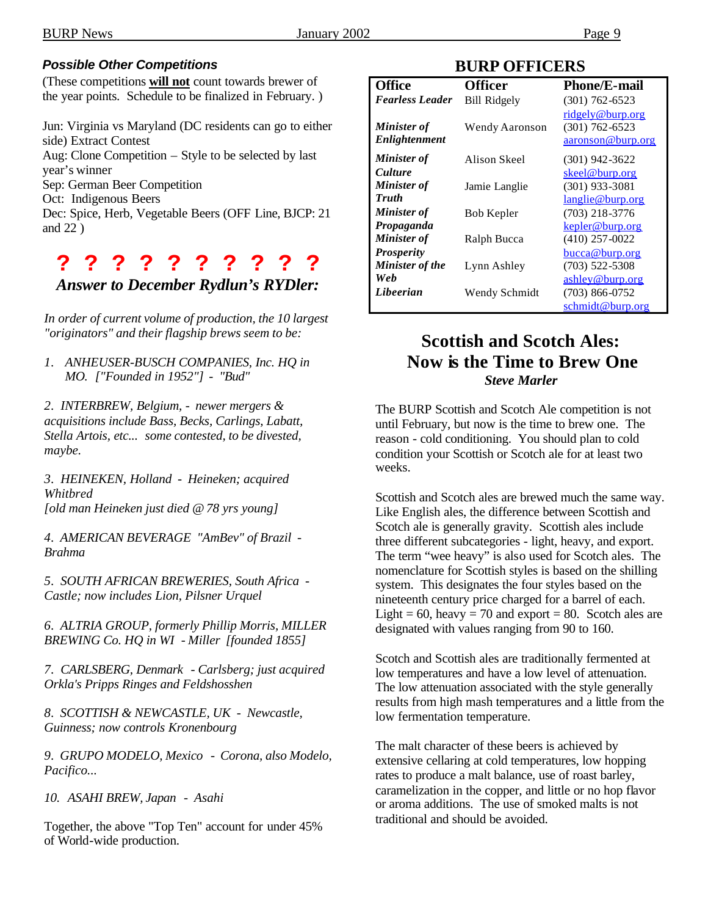#### *Possible Other Competitions*

(These competitions **will not** count towards brewer of the year points. Schedule to be finalized in February. )

Jun: Virginia vs Maryland (DC residents can go to either side) Extract Contest Aug: Clone Competition – Style to be selected by last year's winner Sep: German Beer Competition Oct: Indigenous Beers Dec: Spice, Herb, Vegetable Beers (OFF Line, BJCP: 21 and 22 )

# **? ? ? ? ? ? ? ? ? ?**

#### *Answer to December Rydlun's RYDler:*

*In order of current volume of production, the 10 largest "originators" and their flagship brews seem to be:*

*1. ANHEUSER-BUSCH COMPANIES, Inc. HQ in MO. ["Founded in 1952"] - "Bud"*

*2. INTERBREW, Belgium, - newer mergers & acquisitions include Bass, Becks, Carlings, Labatt, Stella Artois, etc... some contested, to be divested, maybe.*

*3. HEINEKEN, Holland - Heineken; acquired Whitbred [old man Heineken just died @ 78 yrs young]*

*4. AMERICAN BEVERAGE "AmBev" of Brazil - Brahma*

*5. SOUTH AFRICAN BREWERIES, South Africa - Castle; now includes Lion, Pilsner Urquel*

*6. ALTRIA GROUP, formerly Phillip Morris, MILLER BREWING Co. HQ in WI - Miller [founded 1855]*

*7. CARLSBERG, Denmark - Carlsberg; just acquired Orkla's Pripps Ringes and Feldshosshen*

*8. SCOTTISH & NEWCASTLE, UK - Newcastle, Guinness; now controls Kronenbourg*

*9. GRUPO MODELO, Mexico - Corona, also Modelo, Pacifico...* 

*10. ASAHI BREW, Japan - Asahi*

Together, the above "Top Ten" account for under 45% of World-wide production.

### **BURP OFFICERS**

| <b>Office</b>          | <b>Officer</b>      | <b>Phone/E-mail</b> |
|------------------------|---------------------|---------------------|
| <b>Fearless Leader</b> | <b>Bill Ridgely</b> | $(301)$ 762-6523    |
|                        |                     | ridgely@burp.org    |
| Minister of            | Wendy Aaronson      | $(301) 762 - 6523$  |
| Enlightenment          |                     | aaronson@burp.org   |
| <b>Minister of</b>     | Alison Skeel        | $(301)$ 942-3622    |
| <b>Culture</b>         |                     | skeel@burp.org      |
| <b>Minister of</b>     | Jamie Langlie       | $(301)$ 933-3081    |
| <b>Truth</b>           |                     | langlie@burp.org    |
| <b>Minister</b> of     | Bob Kepler          | $(703)$ 218-3776    |
| Propaganda             |                     | kepler@burp.org     |
| <b>Minister of</b>     | Ralph Bucca         | $(410)$ 257-0022    |
| <b>Prosperity</b>      |                     | bucca@burp.org      |
| Minister of the        | Lynn Ashley         | $(703)$ 522-5308    |
| Web                    |                     | ashley@burp.org     |
| Libeerian              | Wendy Schmidt       | $(703)$ 866-0752    |
|                        |                     | schmidt@burp.org    |

# **Scottish and Scotch Ales: Now is the Time to Brew One** *Steve Marler*

The BURP Scottish and Scotch Ale competition is not until February, but now is the time to brew one. The reason - cold conditioning. You should plan to cold condition your Scottish or Scotch ale for at least two weeks.

Scottish and Scotch ales are brewed much the same way. Like English ales, the difference between Scottish and Scotch ale is generally gravity. Scottish ales include three different subcategories - light, heavy, and export. The term "wee heavy" is also used for Scotch ales. The nomenclature for Scottish styles is based on the shilling system. This designates the four styles based on the nineteenth century price charged for a barrel of each. Light =  $60$ , heavy =  $70$  and export =  $80$ . Scotch ales are designated with values ranging from 90 to 160.

Scotch and Scottish ales are traditionally fermented at low temperatures and have a low level of attenuation. The low attenuation associated with the style generally results from high mash temperatures and a little from the low fermentation temperature.

The malt character of these beers is achieved by extensive cellaring at cold temperatures, low hopping rates to produce a malt balance, use of roast barley, caramelization in the copper, and little or no hop flavor or aroma additions. The use of smoked malts is not traditional and should be avoided.